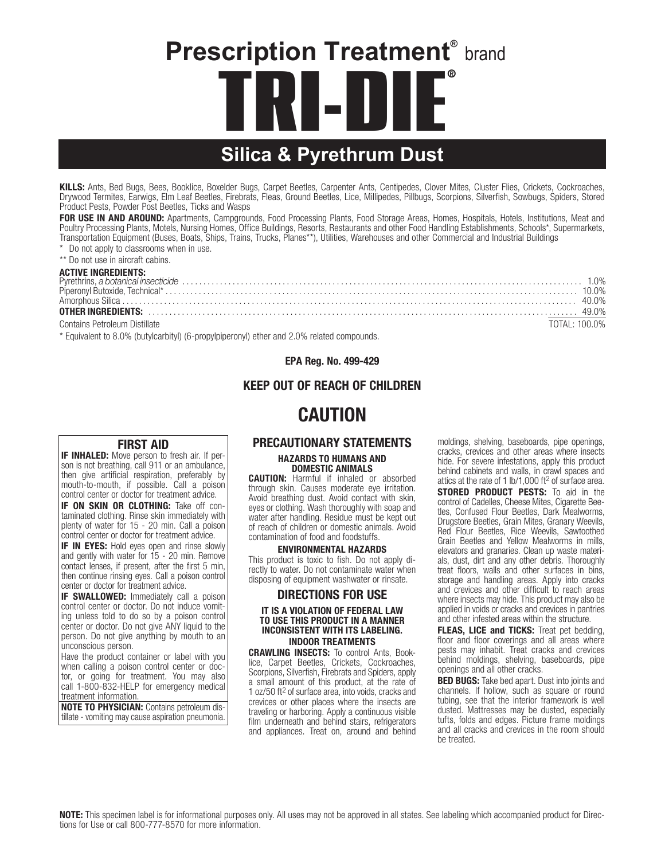# **Prescription Treatment®** brand **TRI-DIE Silica & Pyrethrum Dust** ®

KILLS: Ants, Bed Bugs, Bees, Booklice, Boxelder Bugs, Carpet Beetles, Carpenter Ants, Centipedes, Clover Mites, Cluster Flies, Crickets, Cockroaches, Drywood Termites, Earwigs, Elm Leaf Beetles, Firebrats, Fleas, Ground Beetles, Lice, Millipedes, Pillbugs, Scorpions, Silverfish, Sowbugs, Spiders, Stored Product Pests, Powder Post Beetles, Ticks and Wasps

FOR USE IN AND AROUND: Apartments, Campgrounds, Food Processing Plants, Food Storage Areas, Homes, Hospitals, Hotels, Institutions, Meat and Poultry Processing Plants, Motels, Nursing Homes, Office Buildings, Resorts, Restaurants and other Food Handling Establishments, Schools\*, Supermarkets, Transportation Equipment (Buses, Boats, Ships, Trains, Trucks, Planes\*\*), Utilities, Warehouses and other Commercial and Industrial Buildings

\* Do not apply to classrooms when in use.

\*\* Do not use in aircraft cabins.

#### ACTIVE INGREDIENTS:

| <b>OTHER INGREDIENTS:</b> 49.0% 49.0% 49.0% 49.0% 49.0% 49.0% 49.0% 49.0% 49.0% 49.0% 49.0% 49.0% 49.0% 49.0% 49.0% 49.0% 49.0% 49.0% 40.0% 40.0% 40.0% 40.0% 40.0% 40.0% 40.0% 40.0% 40.0% 40.0% 40.0% 40.0% 40.0% 40.0% 40.0% 40. |               |
|-------------------------------------------------------------------------------------------------------------------------------------------------------------------------------------------------------------------------------------|---------------|
| Contains Petroleum Distillate                                                                                                                                                                                                       | TOTAL: 100.0% |

\* Equivalent to 8.0% (butylcarbityl) (6-propylpiperonyl) ether and 2.0% related compounds.

EPA Reg. No. 499-429

## KEEP OUT OF REACH OF CHILDREN

# CAUTION

### FIRST AID

**IF INHALED:** Move person to fresh air. If person is not breathing, call 911 or an ambulance, then give artificial respiration, preferably by mouth-to-mouth, if possible. Call a poison control center or doctor for treatment advice.

IF ON SKIN OR CLOTHING: Take off contaminated clothing. Rinse skin immediately with plenty of water for 15 - 20 min. Call a poison control center or doctor for treatment advice.

**IF IN EYES:** Hold eyes open and rinse slowly and gently with water for 15 - 20 min. Remove contact lenses, if present, after the first 5 min, then continue rinsing eyes. Call a poison control center or doctor for treatment advice.

**IF SWALLOWED:** Immediately call a poison control center or doctor. Do not induce vomiting unless told to do so by a poison control center or doctor. Do not give ANY liquid to the person. Do not give anything by mouth to an unconscious person.

Have the product container or label with you when calling a poison control center or doctor, or going for treatment. You may also call 1-800-832-HELP for emergency medical treatment information.

NOTE TO PHYSICIAN: Contains petroleum distillate - vomiting may cause aspiration pneumonia.

# PRECAUTIONARY STATEMENTS

#### HAZARDS TO HUMANS AND DOMESTIC ANIMALS

CAUTION: Harmful if inhaled or absorbed through skin. Causes moderate eye irritation. Avoid breathing dust. Avoid contact with skin, eyes or clothing. Wash thoroughly with soap and water after handling. Residue must be kept out of reach of children or domestic animals. Avoid contamination of food and foodstuffs.

#### ENVIRONMENTAL HAZARDS

This product is toxic to fish. Do not apply directly to water. Do not contaminate water when disposing of equipment washwater or rinsate.

#### DIRECTIONS FOR USE

#### IT IS A VIOLATION OF FEDERAL LAW TO USE THIS PRODUCT IN A MANNER INCONSISTENT WITH ITS LABELING. INDOOR TREATMENTS

CRAWLING INSECTS: To control Ants, Booklice, Carpet Beetles, Crickets, Cockroaches, Scorpions, Silverfish, Firebrats and Spiders, apply a small amount of this product, at the rate of 1 oz/50 ft2 of surface area, into voids, cracks and crevices or other places where the insects are traveling or harboring. Apply a continuous visible film underneath and behind stairs, refrigerators and appliances. Treat on, around and behind moldings, shelving, baseboards, pipe openings, cracks, crevices and other areas where insects hide. For severe infestations, apply this product behind cabinets and walls, in crawl spaces and attics at the rate of 1 lb/1,000 ft2 of surface area. STORED PRODUCT PESTS: To aid in the control of Cadelles, Cheese Mites, Cigarette Beetles, Confused Flour Beetles, Dark Mealworms, Drugstore Beetles, Grain Mites, Granary Weevils, Red Flour Beetles, Rice Weevils, Sawtoothed Grain Beetles and Yellow Mealworms in mills, elevators and granaries. Clean up waste materials, dust, dirt and any other debris. Thoroughly treat floors, walls and other surfaces in bins, storage and handling areas. Apply into cracks and crevices and other difficult to reach areas where insects may hide. This product may also be applied in voids or cracks and crevices in pantries and other infested areas within the structure.

FLEAS, LICE and TICKS: Treat pet bedding, floor and floor coverings and all areas where pests may inhabit. Treat cracks and crevices behind moldings, shelving, baseboards, pipe openings and all other cracks.

BED BUGS: Take bed apart. Dust into joints and channels. If hollow, such as square or round tubing, see that the interior framework is well dusted. Mattresses may be dusted, especially tufts, folds and edges. Picture frame moldings and all cracks and crevices in the room should be treated.